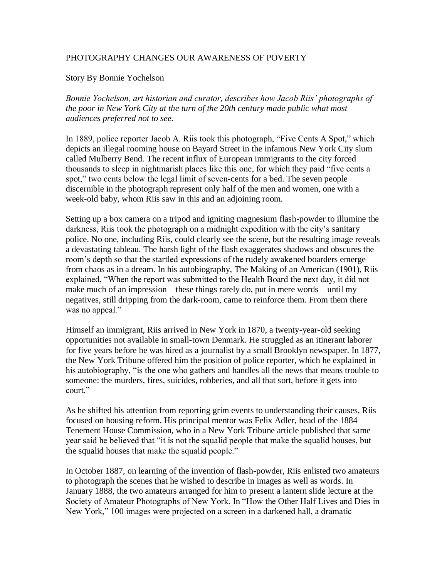## PHOTOGRAPHY CHANGES OUR AWARENESS OF POVERTY

## Story By Bonnie Yochelson

*Bonnie Yochelson, art historian and curator, describes how Jacob Riis' photographs of the poor in New York City at the turn of the 20th century made public what most audiences preferred not to see.*

In 1889, police reporter Jacob A. Riis took this photograph, "Five Cents A Spot," which depicts an illegal rooming house on Bayard Street in the infamous New York City slum called Mulberry Bend. The recent influx of European immigrants to the city forced thousands to sleep in nightmarish places like this one, for which they paid "five cents a spot," two cents below the legal limit of seven-cents for a bed. The seven people discernible in the photograph represent only half of the men and women, one with a week-old baby, whom Riis saw in this and an adjoining room.

Setting up a box camera on a tripod and igniting magnesium flash-powder to illumine the darkness, Riis took the photograph on a midnight expedition with the city's sanitary police. No one, including Riis, could clearly see the scene, but the resulting image reveals a devastating tableau. The harsh light of the flash exaggerates shadows and obscures the room's depth so that the startled expressions of the rudely awakened boarders emerge from chaos as in a dream. In his autobiography, The Making of an American (1901), Riis explained, "When the report was submitted to the Health Board the next day, it did not make much of an impression – these things rarely do, put in mere words – until my negatives, still dripping from the dark-room, came to reinforce them. From them there was no appeal."

Himself an immigrant, Riis arrived in New York in 1870, a twenty-year-old seeking opportunities not available in small-town Denmark. He struggled as an itinerant laborer for five years before he was hired as a journalist by a small Brooklyn newspaper. In 1877, the New York Tribune offered him the position of police reporter, which he explained in his autobiography, "is the one who gathers and handles all the news that means trouble to someone: the murders, fires, suicides, robberies, and all that sort, before it gets into court."

As he shifted his attention from reporting grim events to understanding their causes, Riis focused on housing reform. His principal mentor was Felix Adler, head of the 1884 Tenement House Commission, who in a New York Tribune article published that same year said he believed that "it is not the squalid people that make the squalid houses, but the squalid houses that make the squalid people."

In October 1887, on learning of the invention of flash-powder, Riis enlisted two amateurs to photograph the scenes that he wished to describe in images as well as words. In January 1888, the two amateurs arranged for him to present a lantern slide lecture at the Society of Amateur Photographs of New York. In "How the Other Half Lives and Dies in New York," 100 images were projected on a screen in a darkened hall, a dramatic